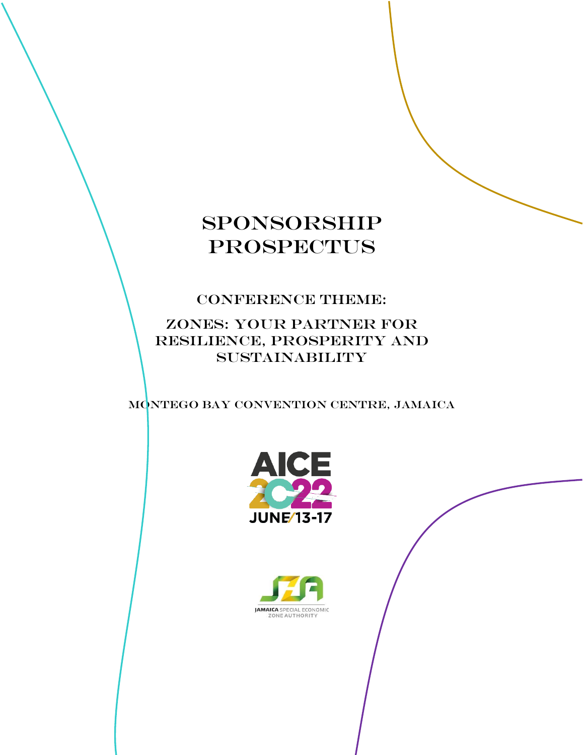# Sponsorship **PROSPECTUS**

CONFERENCE THEME:

ZoneS: your partner for resilience, prosperity and **SUSTAINABILITY** 

Montego Bay Convention Centre, Jamaica



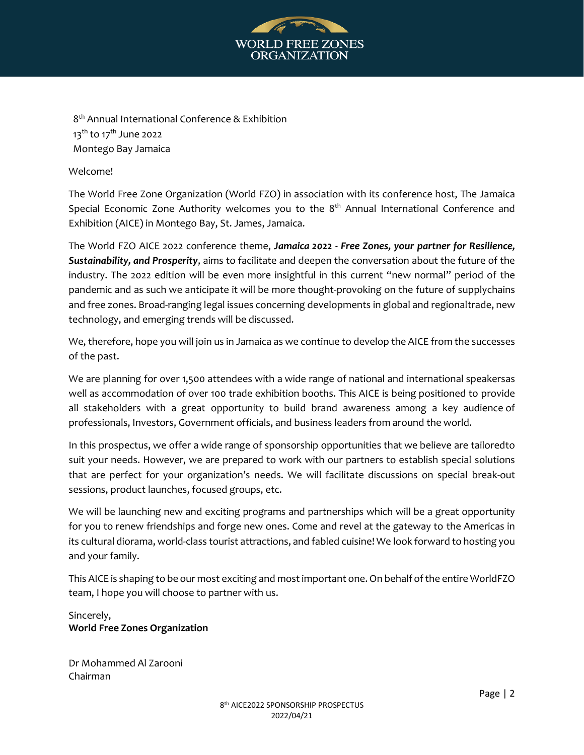

8 th Annual International Conference & Exhibition  $13<sup>th</sup>$  to 17<sup>th</sup> June 2022 Montego Bay Jamaica

Welcome!

The World Free Zone Organization (World FZO) in association with its conference host, The Jamaica Special Economic Zone Authority welcomes you to the 8<sup>th</sup> Annual International Conference and Exhibition (AICE) in Montego Bay, St. James, Jamaica.

The World FZO AICE 2022 conference theme, *Jamaica 2022 - Free Zones, your partner for Resilience, Sustainability, and Prosperity*, aims to facilitate and deepen the conversation about the future of the industry. The 2022 edition will be even more insightful in this current "new normal" period of the pandemic and as such we anticipate it will be more thought-provoking on the future of supplychains and free zones. Broad-ranging legal issues concerning developments in global and regionaltrade, new technology, and emerging trends will be discussed.

We, therefore, hope you will join us in Jamaica as we continue to develop the AICE from the successes of the past.

We are planning for over 1,500 attendees with a wide range of national and international speakersas well as accommodation of over 100 trade exhibition booths. This AICE is being positioned to provide all stakeholders with a great opportunity to build brand awareness among a key audience of professionals, Investors, Government officials, and business leaders from around the world.

In this prospectus, we offer a wide range of sponsorship opportunities that we believe are tailoredto suit your needs. However, we are prepared to work with our partners to establish special solutions that are perfect for your organization's needs. We will facilitate discussions on special break-out sessions, product launches, focused groups, etc.

We will be launching new and exciting programs and partnerships which will be a great opportunity for you to renew friendships and forge new ones. Come and revel at the gateway to the Americas in its cultural diorama, world-class tourist attractions, and fabled cuisine! We look forward to hosting you and your family.

This AICE is shaping to be our most exciting and mostimportant one.On behalf ofthe entire WorldFZO team, I hope you will choose to partner with us.

Sincerely, **World Free Zones Organization**

Dr Mohammed Al Zarooni Chairman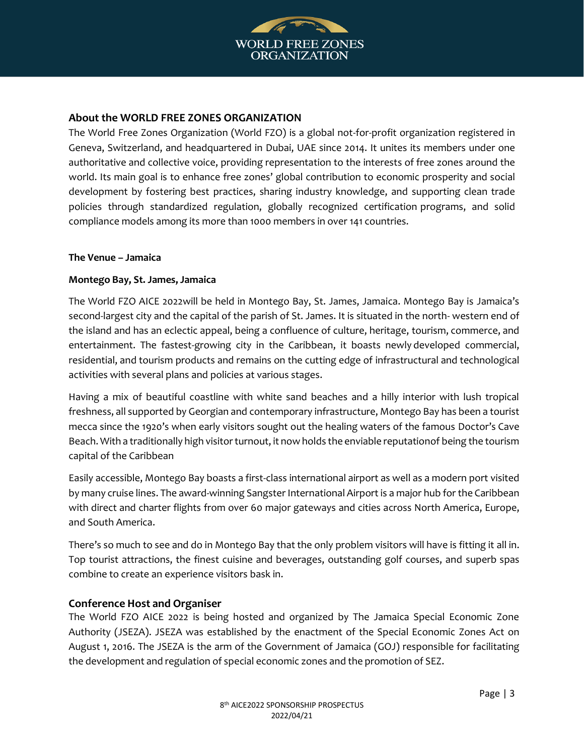

#### **About the WORLD FREE ZONES ORGANIZATION**

The World Free Zones Organization (World FZO) is a global not-for-profit organization registered in Geneva, Switzerland, and headquartered in Dubai, UAE since 2014. It unites its members under one authoritative and collective voice, providing representation to the interests of free zones around the world. Its main goal is to enhance free zones' global contribution to economic prosperity and social development by fostering best practices, sharing industry knowledge, and supporting clean trade policies through standardized regulation, globally recognized certification programs, and solid compliance models among its more than 1000 members in over 141 countries.

#### **The Venue – Jamaica**

#### **Montego Bay, St. James,Jamaica**

The World FZO AICE 2022will be held in Montego Bay, St. James, Jamaica. Montego Bay is Jamaica's second-largest city and the capital of the parish of St. James. It is situated in the north- western end of the island and has an eclectic appeal, being a confluence of culture, heritage, tourism, commerce, and entertainment. The fastest-growing city in the Caribbean, it boasts newly developed commercial, residential, and tourism products and remains on the cutting edge of infrastructural and technological activities with several plans and policies at various stages.

Having a mix of beautiful coastline with white sand beaches and a hilly interior with lush tropical freshness, all supported by Georgian and contemporary infrastructure, Montego Bay has been a tourist mecca since the 1920's when early visitors sought out the healing waters of the famous Doctor's Cave Beach. With a traditionally high visitor turnout, it now holds the enviable reputationof being the tourism capital of the Caribbean

Easily accessible, Montego Bay boasts a first-class international airport as well as a modern port visited by many cruise lines. The award-winning Sangster International Airport is a major hub for the Caribbean with direct and charter flights from over 60 major gateways and cities across North America, Europe, and South America.

There's so much to see and do in Montego Bay that the only problem visitors will have is fitting it all in. Top tourist attractions, the finest cuisine and beverages, outstanding golf courses, and superb spas combine to create an experience visitors bask in.

#### **Conference Host and Organiser**

The World FZO AICE 2022 is being hosted and organized by The Jamaica Special Economic Zone Authority (JSEZA). JSEZA was established by the enactment of the Special Economic Zones Act on August 1, 2016. The JSEZA is the arm of the Government of Jamaica (GOJ) responsible for facilitating the development and regulation of special economic zones and the promotion of SEZ.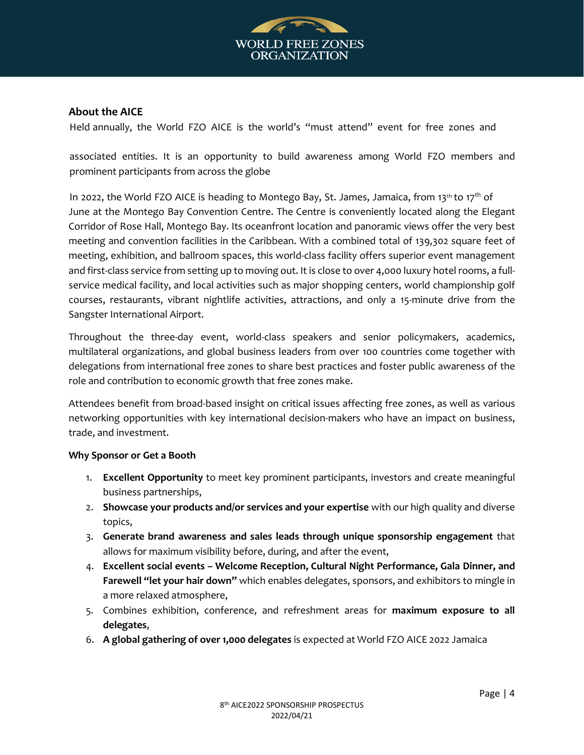

#### **About the AICE**

Held annually, the World FZO AICE is the world's "must attend" event for free zones and

associated entities. It is an opportunity to build awareness among World FZO members and prominent participants from across the globe

In 2022, the World FZO AICE is heading to Montego Bay, St. James, Jamaica, from 13th to 17<sup>th</sup> of June at the Montego Bay Convention Centre. The Centre is conveniently located along the Elegant Corridor of Rose Hall, Montego Bay. Its oceanfront location and panoramic views offer the very best meeting and convention facilities in the Caribbean. With a combined total of 139,302 square feet of meeting, exhibition, and ballroom spaces, this world-class facility offers superior event management and first-class service from setting up to moving out. It is close to over 4,000 luxury hotel rooms, a fullservice medical facility, and local activities such as major shopping centers, world championship golf courses, restaurants, vibrant nightlife activities, attractions, and only a 15-minute drive from the Sangster International Airport.

Throughout the three-day event, world-class speakers and senior policymakers, academics, multilateral organizations, and global business leaders from over 100 countries come together with delegations from international free zones to share best practices and foster public awareness of the role and contribution to economic growth that free zones make.

Attendees benefit from broad-based insight on critical issues affecting free zones, as well as various networking opportunities with key international decision-makers who have an impact on business, trade, and investment.

#### **Why Sponsor or Get a Booth**

- 1. **Excellent Opportunity** to meet key prominent participants, investors and create meaningful business partnerships,
- 2. **Showcase your products and/or services and your expertise** with our high quality and diverse topics,
- 3. **Generate brand awareness and sales leads through unique sponsorship engagement** that allows for maximum visibility before, during, and after the event,
- 4. **Excellent social events – Welcome Reception, Cultural Night Performance, Gala Dinner, and Farewell "let your hair down"** which enables delegates, sponsors, and exhibitors to mingle in a more relaxed atmosphere,
- 5. Combines exhibition, conference, and refreshment areas for **maximum exposure to all delegates**,
- 6. **A global gathering of over 1,000 delegates** is expected at World FZO AICE 2022 Jamaica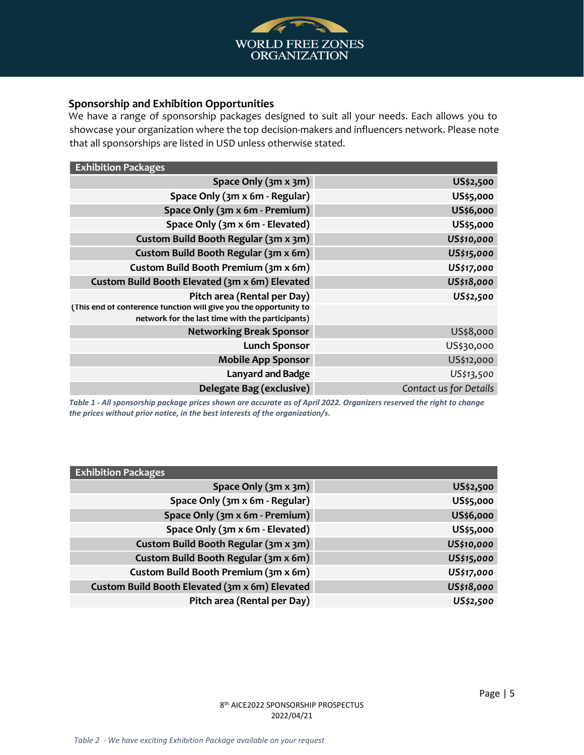

#### **Sponsorship and Exhibition Opportunities**

We have a range of sponsorship packages designed to suit all your needs. Each allows you to showcase your organization where the top decision-makers and influencers network. Please note that all sponsorships are listed in USD unless otherwise stated.

| <b>Exhibition Packages</b>                                        |                        |
|-------------------------------------------------------------------|------------------------|
| Space Only (3m x 3m)                                              | US\$2,500              |
| Space Only (3m x 6m - Regular)                                    | US\$5,000              |
| Space Only (3m x 6m - Premium)                                    | US\$6,000              |
| Space Only (3m x 6m - Elevated)                                   | US\$5,000              |
| Custom Build Booth Regular (3m x 3m)                              | US\$10,000             |
| Custom Build Booth Regular (3m x 6m)                              | US\$15,000             |
| Custom Build Booth Premium (3m x 6m)                              | US\$17,000             |
| Custom Build Booth Elevated (3m x 6m) Elevated                    | US\$18,000             |
| Pitch area (Rental per Day)                                       | US\$2,500              |
| (This end of conference function will give you the opportunity to |                        |
| network for the last time with the participants)                  |                        |
| <b>Networking Break Sponsor</b>                                   | US\$8,000              |
| <b>Lunch Sponsor</b>                                              | US\$30,000             |
| <b>Mobile App Sponsor</b>                                         | US\$12,000             |
| Lanyard and Badge                                                 | US\$13,500             |
| Delegate Bag (exclusive)                                          | Contact us for Details |

*Table 1 - All sponsorship package prices shown are accurate as of April 2022. Organizers reserved the right to change the prices without prior notice, in the best interests of the organization/s.*

| <b>Exhibition Packages</b>                     |            |
|------------------------------------------------|------------|
| Space Only (3m x 3m)                           | US\$2,500  |
| Space Only (3m x 6m - Regular)                 | US\$5,000  |
| Space Only (3m x 6m - Premium)                 | US\$6,000  |
| Space Only (3m x 6m - Elevated)                | US\$5,000  |
| Custom Build Booth Regular (3m x 3m)           | US\$10,000 |
| Custom Build Booth Regular (3m x 6m)           | US\$15,000 |
| Custom Build Booth Premium (3m x 6m)           | US\$17,000 |
| Custom Build Booth Elevated (3m x 6m) Elevated | US\$18,000 |
| Pitch area (Rental per Day)                    | US\$2,500  |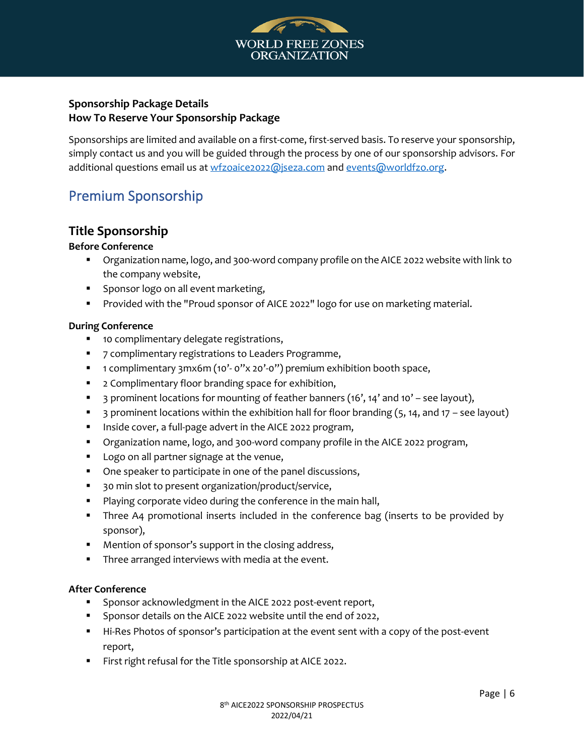

# **Sponsorship Package Details How To Reserve Your Sponsorship Package**

Sponsorships are limited and available on a first-come, first-served basis. To reserve your sponsorship, simply contact us and you will be guided through the process by one of our sponsorship advisors. For additional questions email us at [wfzoaice2022@jseza.com](mailto:wfzoaice2022@jseza.com) and [events@worldfzo.org.](mailto:events@worldfzo.org)

# Premium Sponsorship

# **Title Sponsorship**

#### **Before Conference**

- Organization name, logo, and 300-word company profile on the AICE 2022 website with link to the company website,
- **•** Sponsor logo on all event marketing,
- Provided with the "Proud sponsor of AICE 2022" logo for use on marketing material.

#### **During Conference**

- 10 complimentary delegate registrations,
- 7 complimentary registrations to Leaders Programme,
- 1 complimentary 3mx6m (10'- 0"x 20'-0") premium exhibition booth space,
- 2 Complimentary floor branding space for exhibition,
- 3 prominent locations for mounting of feather banners (16', 14' and 10' see layout),
- **•** 3 prominent locations within the exhibition hall for floor branding  $(5, 14, 201)$  see layout)
- Inside cover, a full-page advert in the AICE 2022 program,
- Organization name, logo, and 300-word company profile in the AICE 2022 program,
- Logo on all partner signage at the venue,
- One speaker to participate in one of the panel discussions,
- 30 min slot to present organization/product/service,
- Playing corporate video during the conference in the main hall,
- **•** Three A4 promotional inserts included in the conference bag (inserts to be provided by sponsor),
- Mention of sponsor's support in the closing address,
- Three arranged interviews with media at the event.

#### **After Conference**

- Sponsor acknowledgment in the AICE 2022 post-event report,
- Sponsor details on the AICE 2022 website until the end of 2022,
- Hi-Res Photos of sponsor's participation at the event sent with a copy of the post-event report,
- First right refusal for the Title sponsorship at AICE 2022.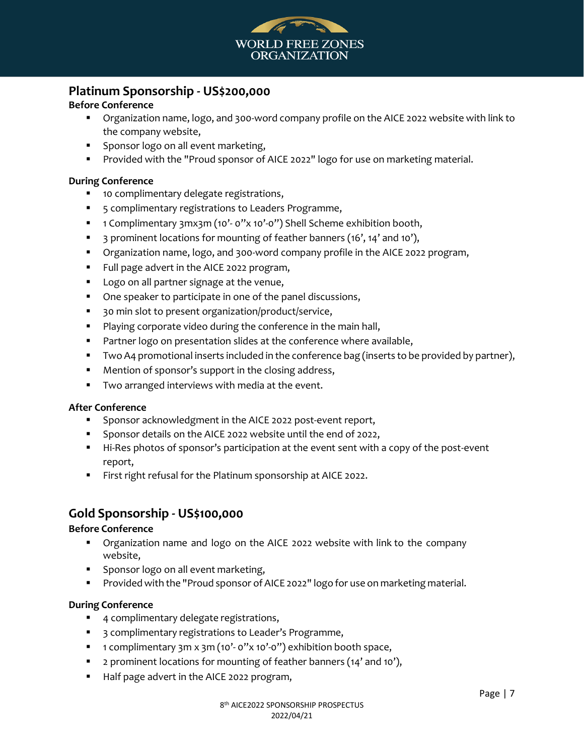

# **Platinum Sponsorship - US\$200,000**

### **Before Conference**

- Organization name, logo, and 300-word company profile on the AICE 2022 website with link to the company website,
- Sponsor logo on all event marketing,
- **•** Provided with the "Proud sponsor of AICE 2022" logo for use on marketing material.

#### **During Conference**

- 10 complimentary delegate registrations,
- 5 complimentary registrations to Leaders Programme,
- 1 Complimentary 3mx3m (10'- 0"x 10'-0") Shell Scheme exhibition booth,
- 3 prominent locations for mounting of feather banners (16', 14' and 10'),
- Organization name, logo, and 300-word company profile in the AICE 2022 program,
- Full page advert in the AICE 2022 program,
- Logo on all partner signage at the venue,
- One speaker to participate in one of the panel discussions,
- 30 min slot to present organization/product/service,
- Playing corporate video during the conference in the main hall,
- Partner logo on presentation slides at the conference where available,
- Two A4 promotional inserts included in the conference bag (inserts to be provided by partner),
- Mention of sponsor's support in the closing address,
- Two arranged interviews with media at the event.

#### **After Conference**

- Sponsor acknowledgment in the AICE 2022 post-event report,
- Sponsor details on the AICE 2022 website until the end of 2022,
- Hi-Res photos of sponsor's participation at the event sent with a copy of the post-event report,
- First right refusal for the Platinum sponsorship at AICE 2022.

# **Gold Sponsorship - US\$100,000**

#### **Before Conference**

- Organization name and logo on the AICE 2022 website with link to the company website,
- **EXEDENT** Sponsor logo on all event marketing,
- Provided with the "Proud sponsor of AICE 2022" logo for use on marketing material.

#### **During Conference**

- 4 complimentary delegate registrations,
- 3 complimentary registrations to Leader's Programme,
- 1 complimentary 3m x 3m (10'-0"x 10'-0") exhibition booth space,
- 2 prominent locations for mounting of feather banners (14' and 10'),
- Half page advert in the AICE 2022 program,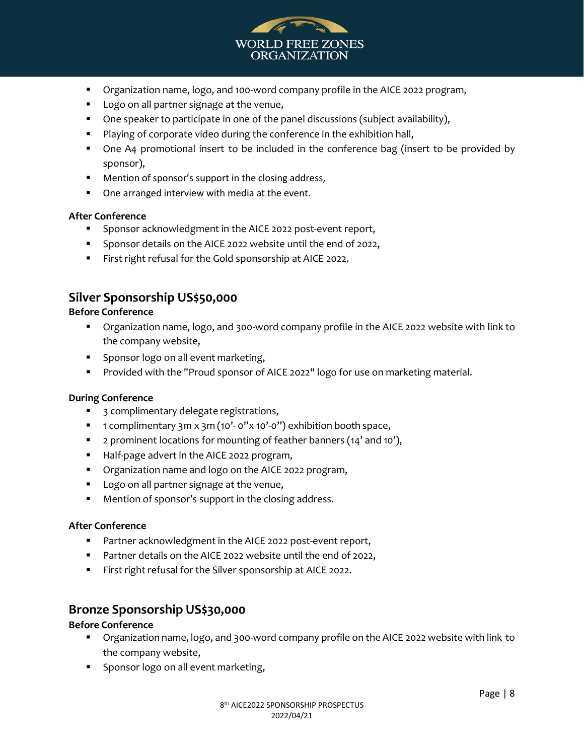

- Organization name, logo, and 100-word company profile in the AICE 2022 program,
- Logo on all partner signage at the venue,
- One speaker to participate in one of the panel discussions (subject availability),
- Playing of corporate video during the conference in the exhibition hall,
- One A4 promotional insert to be included in the conference bag (insert to be provided by sponsor),
- Mention of sponsor's support in the closing address,
- One arranged interview with media at the event.

#### **After Conference**

- Sponsor acknowledgment in the AICE 2022 post-event report,
- Sponsor details on the AICE 2022 website until the end of 2022,
- First right refusal for the Gold sponsorship at AICE 2022.

# **Silver Sponsorship US\$50,000**

#### **Before Conference**

- Organization name, logo, and 300-word company profile in the AICE 2022 website with link to the company website,
- **EXECT:** Sponsor logo on all event marketing,
- Provided with the "Proud sponsor of AICE 2022" logo for use on marketing material.

#### **During Conference**

- 3 complimentary delegate registrations,
- 1 complimentary 3m x 3m (10'- 0"x 10'-0") exhibition booth space,
- 2 prominent locations for mounting of feather banners (14' and 10'),
- Half-page advert in the AICE 2022 program,
- Organization name and logo on the AICE 2022 program,
- Logo on all partner signage at the venue,
- Mention of sponsor's support in the closing address.

#### **After Conference**

- Partner acknowledgment in the AICE 2022 post-event report,
- Partner details on the AICE 2022 website until the end of 2022,
- First right refusal for the Silver sponsorship at AICE 2022.

# **Bronze Sponsorship US\$30,000**

#### **Before Conference**

- Organization name, logo, and 300-word company profile on the AICE 2022 website with link to the company website,
- **EXECT:** Sponsor logo on all event marketing,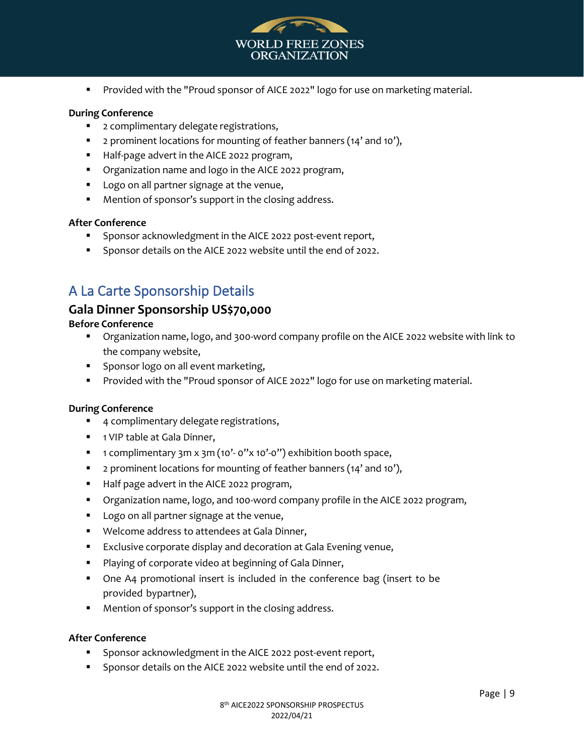

■ Provided with the "Proud sponsor of AICE 2022" logo for use on marketing material.

#### **During Conference**

- 2 complimentary delegate registrations,
- 2 prominent locations for mounting of feather banners (14' and 10'),
- Half-page advert in the AICE 2022 program,
- Organization name and logo in the AICE 2022 program,
- Logo on all partner signage at the venue,
- Mention of sponsor's support in the closing address.

#### **After Conference**

- Sponsor acknowledgment in the AICE 2022 post-event report,
- Sponsor details on the AICE 2022 website until the end of 2022.

# A La Carte Sponsorship Details

# **Gala Dinner Sponsorship US\$70,000**

#### **Before Conference**

- Organization name, logo, and 300-word company profile on the AICE 2022 website with link to the company website,
- **EXEDENT Sponsor logo on all event marketing,**
- Provided with the "Proud sponsor of AICE 2022" logo for use on marketing material.

#### **During Conference**

- 4 complimentary delegate registrations,
- 1 VIP table at Gala Dinner,
- 1 complimentary 3m x 3m (10'- 0"x 10'-0") exhibition booth space,
- 2 prominent locations for mounting of feather banners (14' and 10'),
- Half page advert in the AICE 2022 program,
- Organization name, logo, and 100-word company profile in the AICE 2022 program,
- Logo on all partner signage at the venue,
- Welcome address to attendees at Gala Dinner,
- Exclusive corporate display and decoration at Gala Evening venue,
- Playing of corporate video at beginning of Gala Dinner,
- One A4 promotional insert is included in the conference bag (insert to be provided bypartner),
- Mention of sponsor's support in the closing address.

#### **After Conference**

- Sponsor acknowledgment in the AICE 2022 post-event report,
- Sponsor details on the AICE 2022 website until the end of 2022.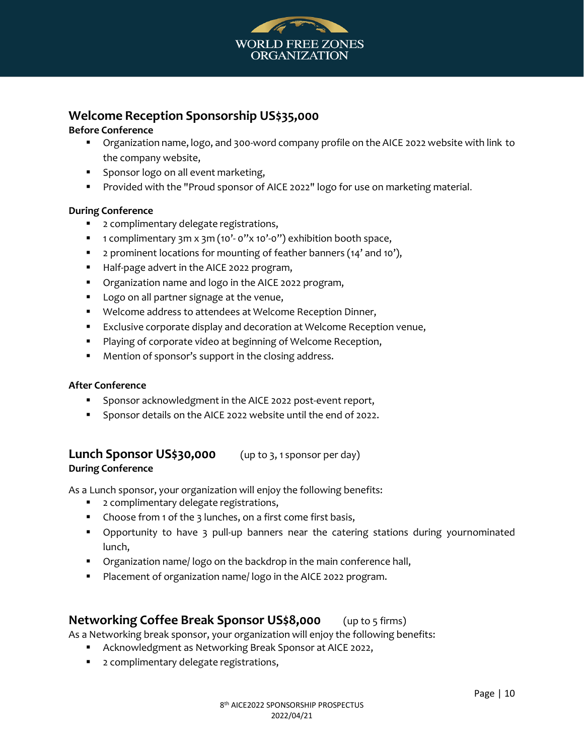

# **Welcome Reception Sponsorship US\$35,000**

#### **Before Conference**

- Organization name, logo, and 300-word company profile on the AICE 2022 website with link to the company website,
- **EXEDENT** Sponsor logo on all event marketing,
- Provided with the "Proud sponsor of AICE 2022" logo for use on marketing material.

#### **During Conference**

- 2 complimentary delegate registrations,
- 1 complimentary 3m x 3m (10'- 0"x 10'-0") exhibition booth space,
- 2 prominent locations for mounting of feather banners (14' and 10'),
- Half-page advert in the AICE 2022 program,
- Organization name and logo in the AICE 2022 program,
- Logo on all partner signage at the venue,
- Welcome address to attendees at Welcome Reception Dinner,
- Exclusive corporate display and decoration at Welcome Reception venue,
- Playing of corporate video at beginning of Welcome Reception,
- Mention of sponsor's support in the closing address.

#### **After Conference**

- Sponsor acknowledgment in the AICE 2022 post-event report,
- Sponsor details on the AICE 2022 website until the end of 2022.

#### **Lunch Sponsor US\$30,000** (up to 3, 1 sponsor per day) **During Conference**

As a Lunch sponsor, your organization will enjoy the following benefits:

- 2 complimentary delegate registrations,
- Choose from 1 of the 3 lunches, on a first come first basis,
- Opportunity to have 3 pull-up banners near the catering stations during yournominated lunch,
- Organization name/logo on the backdrop in the main conference hall,
- Placement of organization name/ logo in the AICE 2022 program.

## **Networking Coffee Break Sponsor US\$8,000** (up to 5 firms)

As a Networking break sponsor, your organization will enjoy the following benefits:

- Acknowledgment as Networking Break Sponsor at AICE 2022,
- 2 complimentary delegate registrations,